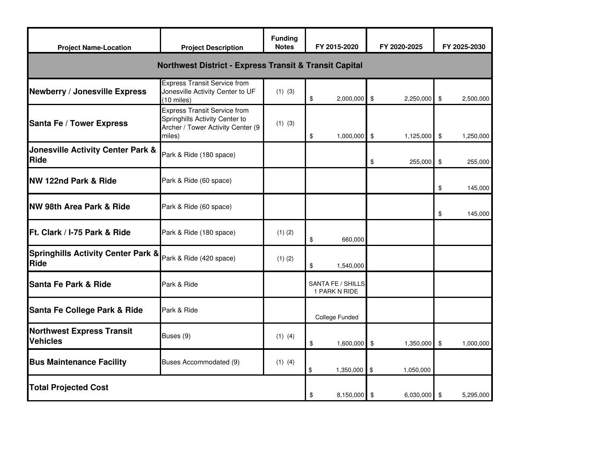| <b>Project Name-Location</b>                                      | <b>Project Description</b>                                                                                           | <b>Funding</b><br><b>Notes</b> | FY 2015-2020                       | FY 2020-2025    | FY 2025-2030    |  |  |  |
|-------------------------------------------------------------------|----------------------------------------------------------------------------------------------------------------------|--------------------------------|------------------------------------|-----------------|-----------------|--|--|--|
| <b>Northwest District - Express Transit &amp; Transit Capital</b> |                                                                                                                      |                                |                                    |                 |                 |  |  |  |
| <b>Newberry / Jonesville Express</b>                              | <b>Express Transit Service from</b><br>Jonesville Activity Center to UF<br>$(10 \text{ miles})$                      | $(1)$ $(3)$                    | \$<br>$2,000,000$ \$               | 2,250,000       | \$<br>2,500,000 |  |  |  |
| Santa Fe / Tower Express                                          | <b>Express Transit Service from</b><br>Springhills Activity Center to<br>Archer / Tower Activity Center (9<br>miles) | $(1)$ $(3)$                    | \$<br>$1,000,000$ \$               | 1,125,000       | \$<br>1,250,000 |  |  |  |
| <b>Jonesville Activity Center Park &amp;</b><br>Ride              | Park & Ride (180 space)                                                                                              |                                |                                    | \$<br>255,000   | \$<br>255,000   |  |  |  |
| <b>NW 122nd Park &amp; Ride</b>                                   | Park & Ride (60 space)                                                                                               |                                |                                    |                 | \$<br>145,000   |  |  |  |
| <b>NW 98th Area Park &amp; Ride</b>                               | Park & Ride (60 space)                                                                                               |                                |                                    |                 | \$<br>145,000   |  |  |  |
| Ft. Clark / I-75 Park & Ride                                      | Park & Ride (180 space)                                                                                              | $(1)$ $(2)$                    | \$<br>660,000                      |                 |                 |  |  |  |
| <b>Springhills Activity Center Park &amp;</b><br>Ride             | Park & Ride (420 space)                                                                                              | $(1)$ $(2)$                    | \$<br>1,540,000                    |                 |                 |  |  |  |
| Santa Fe Park & Ride                                              | Park & Ride                                                                                                          |                                | SANTA FE / SHILLS<br>1 PARK N RIDE |                 |                 |  |  |  |
| Santa Fe College Park & Ride                                      | Park & Ride                                                                                                          |                                | College Funded                     |                 |                 |  |  |  |
| <b>Northwest Express Transit</b><br><b>Vehicles</b>               | Buses (9)                                                                                                            | $(1)$ $(4)$                    | \$<br>1,600,000                    | \$<br>1,350,000 | \$<br>1,000,000 |  |  |  |
| <b>Bus Maintenance Facility</b>                                   | Buses Accommodated (9)                                                                                               | $(1)$ $(4)$                    | \$<br>1,350,000                    | \$<br>1,050,000 |                 |  |  |  |
| <b>Total Projected Cost</b>                                       |                                                                                                                      |                                | \$<br>8,150,000 \$                 | 6,030,000       | \$<br>5,295,000 |  |  |  |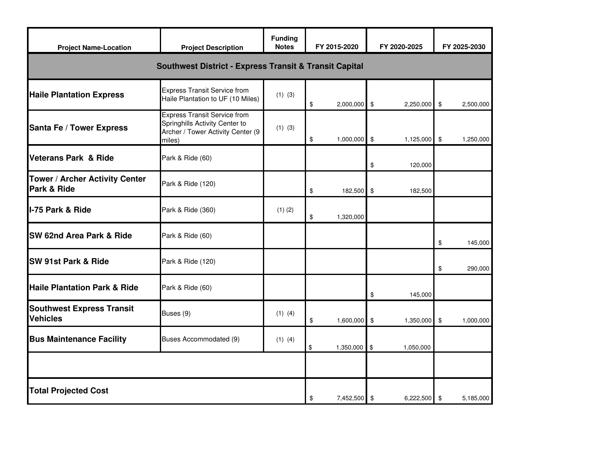| <b>Project Name-Location</b>                                      | <b>Project Description</b>                                                                                           | <b>Funding</b><br><b>Notes</b> | FY 2015-2020 |              |                | FY 2020-2025 | FY 2025-2030  |           |
|-------------------------------------------------------------------|----------------------------------------------------------------------------------------------------------------------|--------------------------------|--------------|--------------|----------------|--------------|---------------|-----------|
| <b>Southwest District - Express Transit &amp; Transit Capital</b> |                                                                                                                      |                                |              |              |                |              |               |           |
| <b>Haile Plantation Express</b>                                   | <b>Express Transit Service from</b><br>Haile Plantation to UF (10 Miles)                                             | $(1)$ $(3)$                    | \$           | 2,000,000 \$ |                | 2,250,000    | $\sqrt[6]{3}$ | 2,500,000 |
| Santa Fe / Tower Express                                          | <b>Express Transit Service from</b><br>Springhills Activity Center to<br>Archer / Tower Activity Center (9<br>miles) | $(1)$ $(3)$                    | \$           | 1,000,000 \$ |                | 1,125,000    | \$            | 1,250,000 |
| <b>Veterans Park &amp; Ride</b>                                   | Park & Ride (60)                                                                                                     |                                |              |              | \$             | 120,000      |               |           |
| Tower / Archer Activity Center<br>Park & Ride                     | Park & Ride (120)                                                                                                    |                                | \$           | 182,500      | \$             | 182,500      |               |           |
| I-75 Park & Ride                                                  | Park & Ride (360)                                                                                                    | $(1)$ $(2)$                    | \$           | 1,320,000    |                |              |               |           |
| SW 62nd Area Park & Ride                                          | Park & Ride (60)                                                                                                     |                                |              |              |                |              | \$            | 145,000   |
| <b>SW 91st Park &amp; Ride</b>                                    | Park & Ride (120)                                                                                                    |                                |              |              |                |              | \$            | 290,000   |
| <b>Haile Plantation Park &amp; Ride</b>                           | Park & Ride (60)                                                                                                     |                                |              |              | \$             | 145,000      |               |           |
| <b>Southwest Express Transit</b><br><b>Vehicles</b>               | Buses (9)                                                                                                            | $(1)$ $(4)$                    | \$           | 1,600,000    | $\sqrt[6]{3}$  | 1,350,000    | \$            | 1,000,000 |
| <b>Bus Maintenance Facility</b>                                   | Buses Accommodated (9)                                                                                               | $(1)$ $(4)$                    | \$           | 1,350,000    | \$             | 1,050,000    |               |           |
|                                                                   |                                                                                                                      |                                |              |              |                |              |               |           |
| <b>Total Projected Cost</b>                                       |                                                                                                                      | \$                             | 7,452,500 \$ |              | $6,222,500$ \$ |              | 5,185,000     |           |